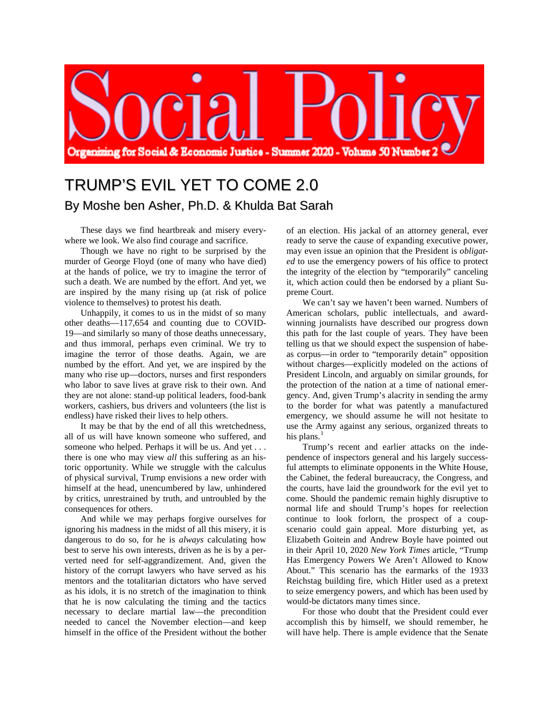

## TRUMP'S EVIL YET TO COME 2.0 By Moshe ben Asher, Ph.D. & Khulda Bat Sarah

These days we find heartbreak and misery everywhere we look. We also find courage and sacrifice.

Though we have no right to be surprised by the murder of George Floyd (one of many who have died) at the hands of police, we try to imagine the terror of such a death. We are numbed by the effort. And yet, we are inspired by the many rising up (at risk of police violence to themselves) to protest his death.

Unhappily, it comes to us in the midst of so many other deaths—117,654 and counting due to COVID-19—and similarly so many of those deaths unnecessary, and thus immoral, perhaps even criminal. We try to imagine the terror of those deaths. Again, we are numbed by the effort. And yet, we are inspired by the many who rise up—doctors, nurses and first responders who labor to save lives at grave risk to their own. And they are not alone: stand-up political leaders, food-bank workers, cashiers, bus drivers and volunteers (the list is endless) have risked their lives to help others.

It may be that by the end of all this wretchedness, all of us will have known someone who suffered, and someone who helped. Perhaps it will be us. And yet . . . there is one who may view *all* this suffering as an historic opportunity. While we struggle with the calculus of physical survival, Trump envisions a new order with himself at the head, unencumbered by law, unhindered by critics, unrestrained by truth, and untroubled by the consequences for others.

And while we may perhaps forgive ourselves for ignoring his madness in the midst of all this misery, it is dangerous to do so, for he is *always* calculating how best to serve his own interests, driven as he is by a perverted need for self-aggrandizement. And, given the history of the corrupt lawyers who have served as his mentors and the totalitarian dictators who have served as his idols, it is no stretch of the imagination to think that he is now calculating the timing and the tactics necessary to declare martial law—the precondition needed to cancel the November election—and keep himself in the office of the President without the bother

of an election. His jackal of an attorney general, ever ready to serve the cause of expanding executive power, may even issue an opinion that the President is *obligated* to use the emergency powers of his office to protect the integrity of the election by "temporarily" canceling it, which action could then be endorsed by a pliant Supreme Court.

We can't say we haven't been warned. Numbers of American scholars, public intellectuals, and awardwinning journalists have described our progress down this path for the last couple of years. They have been telling us that we should expect the suspension of habeas corpus—in order to "temporarily detain" opposition without charges—explicitly modeled on the actions of President Lincoln, and arguably on similar grounds, for the protection of the nation at a time of national emergency. And, given Trump's alacrity in sending the army to the border for what was patently a manufactured emergency, we should assume he will not hesitate to use the Army against any serious, organized threats to his plans.<sup>[1](#page-2-0)</sup>

Trump's recent and earlier attacks on the independence of inspectors general and his largely successful attempts to eliminate opponents in the White House, the Cabinet, the federal bureaucracy, the Congress, and the courts, have laid the groundwork for the evil yet to come. Should the pandemic remain highly disruptive to normal life and should Trump's hopes for reelection continue to look forlorn, the prospect of a coupscenario could gain appeal. More disturbing yet, as Elizabeth Goitein and Andrew Boyle have pointed out in their April 10, 2020 *New York Times* article, "Trump Has Emergency Powers We Aren't Allowed to Know About." This scenario has the earmarks of the 1933 Reichstag building fire, which Hitler used as a pretext to seize emergency powers, and which has been used by would-be dictators many times since.

For those who doubt that the President could ever accomplish this by himself, we should remember, he will have help. There is ample evidence that the Senate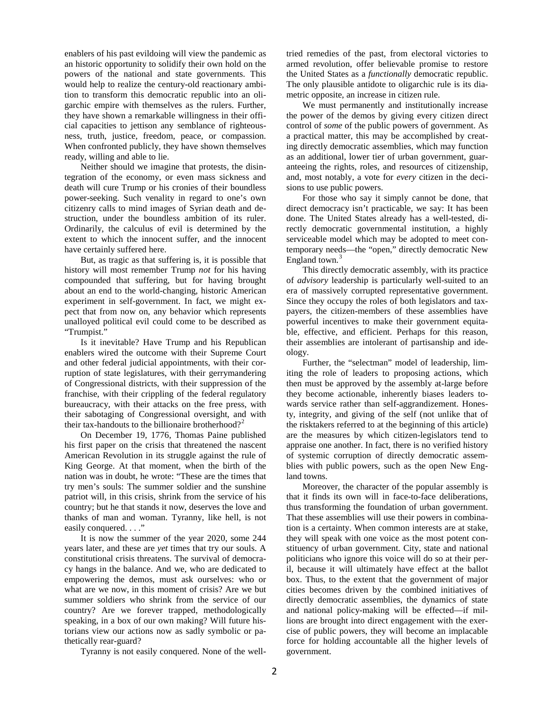enablers of his past evildoing will view the pandemic as an historic opportunity to solidify their own hold on the powers of the national and state governments. This would help to realize the century-old reactionary ambition to transform this democratic republic into an oligarchic empire with themselves as the rulers. Further, they have shown a remarkable willingness in their official capacities to jettison any semblance of righteousness, truth, justice, freedom, peace, or compassion. When confronted publicly, they have shown themselves ready, willing and able to lie.

Neither should we imagine that protests, the disintegration of the economy, or even mass sickness and death will cure Trump or his cronies of their boundless power-seeking. Such venality in regard to one's own citizenry calls to mind images of Syrian death and destruction, under the boundless ambition of its ruler. Ordinarily, the calculus of evil is determined by the extent to which the innocent suffer, and the innocent have certainly suffered here.

But, as tragic as that suffering is, it is possible that history will most remember Trump *not* for his having compounded that suffering, but for having brought about an end to the world-changing, historic American experiment in self-government. In fact, we might expect that from now on, any behavior which represents unalloyed political evil could come to be described as "Trumpist."

Is it inevitable? Have Trump and his Republican enablers wired the outcome with their Supreme Court and other federal judicial appointments, with their corruption of state legislatures, with their gerrymandering of Congressional districts, with their suppression of the franchise, with their crippling of the federal regulatory bureaucracy, with their attacks on the free press, with their sabotaging of Congressional oversight, and with their tax-handouts to the billionaire brotherhood?<sup>[2](#page-3-0)</sup>

On December 19, 1776, Thomas Paine published his first paper on the crisis that threatened the nascent American Revolution in its struggle against the rule of King George. At that moment, when the birth of the nation was in doubt, he wrote: "These are the times that try men's souls: The summer soldier and the sunshine patriot will, in this crisis, shrink from the service of his country; but he that stands it now, deserves the love and thanks of man and woman. Tyranny, like hell, is not easily conquered. . . ."

It is now the summer of the year 2020, some 244 years later, and these are *yet* times that try our souls. A constitutional crisis threatens. The survival of democracy hangs in the balance. And we, who are dedicated to empowering the demos, must ask ourselves: who or what are we now, in this moment of crisis? Are we but summer soldiers who shrink from the service of our country? Are we forever trapped, methodologically speaking, in a box of our own making? Will future historians view our actions now as sadly symbolic or pathetically rear-guard?

Tyranny is not easily conquered. None of the well-

tried remedies of the past, from electoral victories to armed revolution, offer believable promise to restore the United States as a *functionally* democratic republic. The only plausible antidote to oligarchic rule is its diametric opposite, an increase in citizen rule.

We must permanently and institutionally increase the power of the demos by giving every citizen direct control of *some* of the public powers of government. As a practical matter, this may be accomplished by creating directly democratic assemblies, which may function as an additional, lower tier of urban government, guaranteeing the rights, roles, and resources of citizenship, and, most notably, a vote for *every* citizen in the decisions to use public powers.

For those who say it simply cannot be done, that direct democracy isn't practicable, we say: It has been done. The United States already has a well-tested, directly democratic governmental institution, a highly serviceable model which may be adopted to meet contemporary needs—the "open," directly democratic New England town.<sup>[3](#page-3-1)</sup>

This directly democratic assembly, with its practice of *advisory* leadership is particularly well-suited to an era of massively corrupted representative government. Since they occupy the roles of both legislators and taxpayers, the citizen-members of these assemblies have powerful incentives to make their government equitable, effective, and efficient. Perhaps for this reason, their assemblies are intolerant of partisanship and ideology.

Further, the "selectman" model of leadership, limiting the role of leaders to proposing actions, which then must be approved by the assembly at-large before they become actionable, inherently biases leaders towards service rather than self-aggrandizement. Honesty, integrity, and giving of the self (not unlike that of the risktakers referred to at the beginning of this article) are the measures by which citizen-legislators tend to appraise one another. In fact, there is no verified history of systemic corruption of directly democratic assemblies with public powers, such as the open New England towns.

Moreover, the character of the popular assembly is that it finds its own will in face-to-face deliberations, thus transforming the foundation of urban government. That these assemblies will use their powers in combination is a certainty. When common interests are at stake, they will speak with one voice as the most potent constituency of urban government. City, state and national politicians who ignore this voice will do so at their peril, because it will ultimately have effect at the ballot box. Thus, to the extent that the government of major cities becomes driven by the combined initiatives of directly democratic assemblies, the dynamics of state and national policy-making will be effected—if millions are brought into direct engagement with the exercise of public powers, they will become an implacable force for holding accountable all the higher levels of government.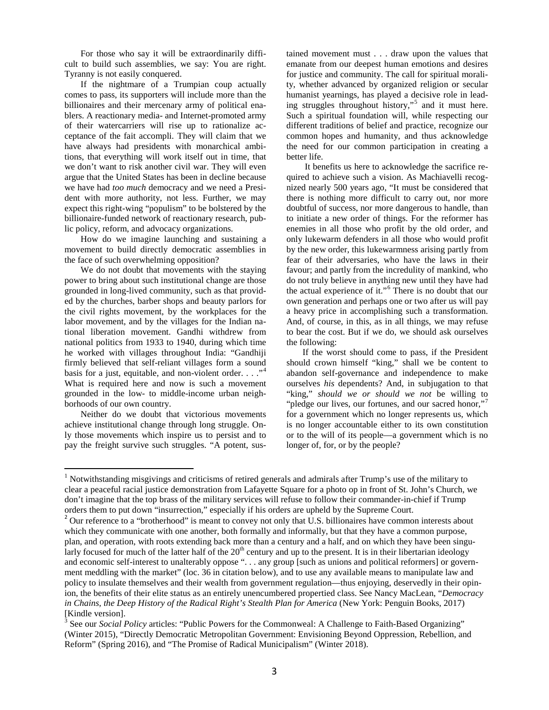For those who say it will be extraordinarily difficult to build such assemblies, we say: You are right. Tyranny is not easily conquered.

If the nightmare of a Trumpian coup actually comes to pass, its supporters will include more than the billionaires and their mercenary army of political enablers. A reactionary media- and Internet-promoted army of their watercarriers will rise up to rationalize acceptance of the fait accompli. They will claim that we have always had presidents with monarchical ambitions, that everything will work itself out in time, that we don't want to risk another civil war. They will even argue that the United States has been in decline because we have had *too much* democracy and we need a President with more authority, not less. Further, we may expect this right-wing "populism" to be bolstered by the billionaire-funded network of reactionary research, public policy, reform, and advocacy organizations.

How do we imagine launching and sustaining a movement to build directly democratic assemblies in the face of such overwhelming opposition?

We do not doubt that movements with the staying power to bring about such institutional change are those grounded in long-lived community, such as that provided by the churches, barber shops and beauty parlors for the civil rights movement, by the workplaces for the labor movement, and by the villages for the Indian national liberation movement. Gandhi withdrew from national politics from 1933 to 1940, during which time he worked with villages throughout India: "Gandhiji firmly believed that self-reliant villages form a sound basis for a just, equitable, and non-violent order. . . ."<sup>[4](#page-3-2)</sup> What is required here and now is such a movement grounded in the low- to middle-income urban neighborhoods of our own country.

Neither do we doubt that victorious movements achieve institutional change through long struggle. Only those movements which inspire us to persist and to pay the freight survive such struggles. "A potent, sus-

tained movement must . . . draw upon the values that emanate from our deepest human emotions and desires for justice and community. The call for spiritual morality, whether advanced by organized religion or secular humanist yearnings, has played a decisive role in leading struggles throughout history,"[5](#page-3-3) and it must here. Such a spiritual foundation will, while respecting our different traditions of belief and practice, recognize our common hopes and humanity, and thus acknowledge the need for our common participation in creating a better life.

It benefits us here to acknowledge the sacrifice required to achieve such a vision. As Machiavelli recognized nearly 500 years ago, "It must be considered that there is nothing more difficult to carry out, nor more doubtful of success, nor more dangerous to handle, than to initiate a new order of things. For the reformer has enemies in all those who profit by the old order, and only lukewarm defenders in all those who would profit by the new order, this lukewarmness arising partly from fear of their adversaries, who have the laws in their favour; and partly from the incredulity of mankind, who do not truly believe in anything new until they have had the actual experience of it."[6](#page-3-4) There is no doubt that our own generation and perhaps one or two after us will pay a heavy price in accomplishing such a transformation. And, of course, in this, as in all things, we may refuse to bear the cost. But if we do, we should ask ourselves the following:

If the worst should come to pass, if the President should crown himself "king," shall we be content to abandon self-governance and independence to make ourselves *his* dependents? And, in subjugation to that "king," *should we or should we not* be willing to "pledge our lives, our fortunes, and our sacred honor,"<sup>[7](#page-3-5)</sup> for a government which no longer represents us, which is no longer accountable either to its own constitution or to the will of its people—a government which is no longer of, for, or by the people?

<span id="page-2-0"></span><sup>&</sup>lt;sup>1</sup> Notwithstanding misgivings and criticisms of retired generals and admirals after Trump's use of the military to clear a peaceful racial justice demonstration from Lafayette Square for a photo op in front of St. John's Church, we don't imagine that the top brass of the military services will refuse to follow their commander-in-chief if Trump orders them to put down "insurrection," especially if his orders are upheld by the Supreme Court.  $2$  Our reference to a "brotherhood" is meant to convey not only that U.S. billionaires have common interests about

which they communicate with one another, both formally and informally, but that they have a common purpose, plan, and operation, with roots extending back more than a century and a half, and on which they have been singularly focused for much of the latter half of the  $20<sup>th</sup>$  century and up to the present. It is in their libertarian ideology and economic self-interest to unalterably oppose ". . . any group [such as unions and political reformers] or government meddling with the market" (loc. 36 in citation below), and to use any available means to manipulate law and policy to insulate themselves and their wealth from government regulation—thus enjoying, deservedly in their opinion, the benefits of their elite status as an entirely unencumbered propertied class. See Nancy MacLean, "*Democracy in Chains, the Deep History of the Radical Right's Stealth Plan for America* (New York: Penguin Books, 2017)

<sup>[</sup>Kindle version].<br><sup>3</sup> See our *Social Policy* articles: "Public Powers for the Commonweal: A Challenge to Faith-Based Organizing" (Winter 2015), "Directly Democratic Metropolitan Government: Envisioning Beyond Oppression, Rebellion, and Reform" (Spring 2016), and "The Promise of Radical Municipalism" (Winter 2018).